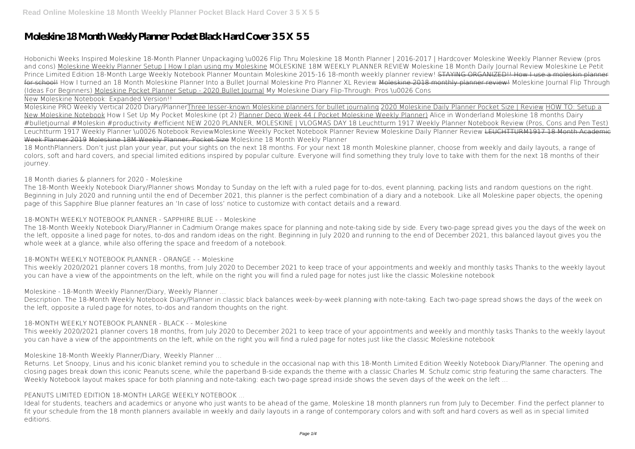# **Moleskine 18 Month Weekly Planner Pocket Black Hard Cover 3 5 X 5 5**

*Hobonichi Weeks Inspired Moleskine 18-Month Planner Unpackaging \u0026 Flip Thru* **Moleskine 18 Month Planner | 2016-2017 | Hardcover Moleskine Weekly Planner Review (pros and cons)** Moleskine Weekly Planner Setup | How I plan using my Moleskine MOLESKINE 18M WEEKLY PLANNER REVIEW *Moleskine 18 Month Daily Journal Review* **Moleskine Le Petit Prince Limited Edition 18-Month Large Weekly Notebook Planner Mountain Moleskine 2015-16 18-month weekly planner review!** STAYING ORGANIZED!! How I use a moleskin planner for school! How I turned an 18 Month Moleskine Planner Into a Bullet Journal Moleskine Pro Planner XL Review <del>Moleskine 2018 monthly planner review!</del> Moleskine Journal Flip Through (Ideas For Beginners) Moleskine Pocket Planner Setup - 2020 Bullet Journal *My Moleskine Diary Flip-Through: Pros \u0026 Cons*

New Moleskine Notebook: Expanded Version!!

Moleskine PRO Weekly Vertical 2020 Diary/PlannerThree lesser-known Moleskine planners for bullet journaling 2020 Moleskine Daily Planner Pocket Size | Review HOW TO: Setup a New Moleskine Notebook How I Set Up My Pocket Moleskine (pt 2) Planner Deco Week 44 ( Pocket Moleskine Weekly Planner) *Alice in Wonderland Moleskine 18 months Dairy #bulletjournal #Moleskin #productivity #efficient NEW 2020 PLANNER, MOLESKINE | VLOGMAS DAY 18 Leuchtturm 1917 Weekly Planner Notebook Review (Pros, Cons and Pen Test)* Leuchtturm 1917 Weekly Planner \u0026 Notebook Review*Moleskine Weekly Pocket Notebook Planner Review Moleskine Daily Planner Review* LEUCHTTURM1917 18 Month Academic Week Planner 2019 Moleskine 18M Weekly Planner, Pocket Size *Moleskine 18 Month Weekly Planner* 18 MonthPlanners. Don't just plan your year, put your sights on the next 18 months. For your next 18 month Moleskine planner, choose from weekly and daily layouts, a range of colors, soft and hard covers, and special limited editions inspired by popular culture. Everyone will find something they truly love to take with them for the next 18 months of their

journey.

*18 Month diaries & planners for 2020 - Moleskine*

The 18-Month Weekly Notebook Diary/Planner shows Monday to Sunday on the left with a ruled page for to-dos, event planning, packing lists and random questions on the right. Beginning in July 2020 and running until the end of December 2021, this planner is the perfect combination of a diary and a notebook. Like all Moleskine paper objects, the opening page of this Sapphire Blue planner features an 'In case of loss' notice to customize with contact details and a reward.

# *18-MONTH WEEKLY NOTEBOOK PLANNER - SAPPHIRE BLUE - - Moleskine*

The 18-Month Weekly Notebook Diary/Planner in Cadmium Orange makes space for planning and note-taking side by side. Every two-page spread gives you the days of the week on the left, opposite a lined page for notes, to-dos and random ideas on the right. Beginning in July 2020 and running to the end of December 2021, this balanced layout gives you the whole week at a glance, while also offering the space and freedom of a notebook.

## *18-MONTH WEEKLY NOTEBOOK PLANNER - ORANGE - - Moleskine*

This weekly 2020/2021 planner covers 18 months, from July 2020 to December 2021 to keep trace of your appointments and weekly and monthly tasks Thanks to the weekly layout you can have a view of the appointments on the left, while on the right you will find a ruled page for notes just like the classic Moleskine notebook

## *Moleskine - 18-Month Weekly Planner/Diary, Weekly Planner ...*

Description. The 18-Month Weekly Notebook Diary/Planner in classic black balances week-by-week planning with note-taking. Each two-page spread shows the days of the week on the left, opposite a ruled page for notes, to-dos and random thoughts on the right.

## *18-MONTH WEEKLY NOTEBOOK PLANNER - BLACK - - Moleskine*

This weekly 2020/2021 planner covers 18 months, from July 2020 to December 2021 to keep trace of your appointments and weekly and monthly tasks Thanks to the weekly layout you can have a view of the appointments on the left, while on the right you will find a ruled page for notes just like the classic Moleskine notebook

## *Moleskine 18-Month Weekly Planner/Diary, Weekly Planner ...*

Returns. Let Snoopy, Linus and his iconic blanket remind you to schedule in the occasional nap with this 18-Month Limited Edition Weekly Notebook Diary/Planner. The opening and closing pages break down this iconic Peanuts scene, while the paperband B-side expands the theme with a classic Charles M. Schulz comic strip featuring the same characters. The Weekly Notebook layout makes space for both planning and note-taking: each two-page spread inside shows the seven days of the week on the left ...

## *PEANUTS LIMITED EDITION 18-MONTH LARGE WEEKLY NOTEBOOK ...*

Ideal for students, teachers and academics or anyone who just wants to be ahead of the game, Moleskine 18 month planners run from July to December. Find the perfect planner to fit your schedule from the 18 month planners available in weekly and daily layouts in a range of contemporary colors and with soft and hard covers as well as in special limited editions.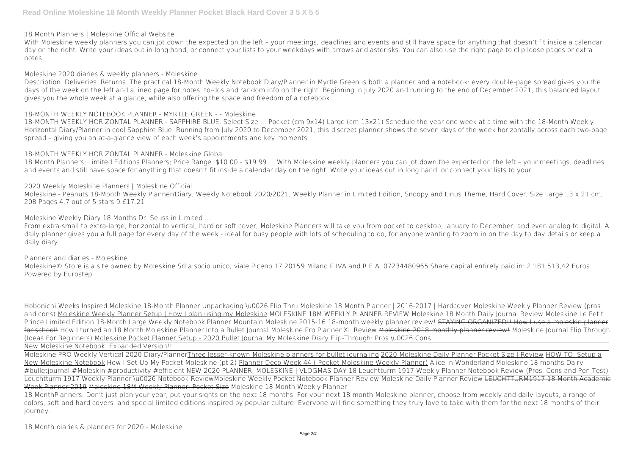*18 Month Planners | Moleskine Official Website*

With Moleskine weekly planners you can jot down the expected on the left – your meetings, deadlines and events and still have space for anything that doesn't fit inside a calendar day on the right. Write your ideas out in long hand, or connect your lists to your weekdays with arrows and asterisks. You can also use the right page to clip loose pages or extra notes.

*Moleskine 2020 diaries & weekly planners - Moleskine*

18 Month Planners; Limited Editions Planners; Price Range. \$10.00 - \$19.99 ... With Moleskine weekly planners you can jot down the expected on the left – your meetings, deadlines and events and still have space for anything that doesn't fit inside a calendar day on the right. Write your ideas out in long hand, or connect your lists to your ...

Description. Deliveries. Returns. The practical 18-Month Weekly Notebook Diary/Planner in Myrtle Green is both a planner and a notebook: every double-page spread gives you the days of the week on the left and a lined page for notes, to-dos and random info on the right. Beginning in July 2020 and running to the end of December 2021, this balanced layout gives you the whole week at a glance, while also offering the space and freedom of a notebook.

Moleskine - Peanuts 18-Month Weekly Planner/Diary, Weekly Notebook 2020/2021, Weekly Planner in Limited Edition, Snoopy and Linus Theme, Hard Cover, Size Large 13 x 21 cm, 208 Pages 4.7 out of 5 stars 9 £17.21

## *18-MONTH WEEKLY NOTEBOOK PLANNER - MYRTLE GREEN - - Moleskine*

18-MONTH WEEKLY HORIZONTAL PLANNER - SAPPHIRE BLUE. Select Size ... Pocket (cm 9x14) Large (cm 13x21) Schedule the year one week at a time with the 18-Month Weekly Horizontal Diary/Planner in cool Sapphire Blue. Running from July 2020 to December 2021, this discreet planner shows the seven days of the week horizontally across each two-page spread – giving you an at-a-glance view of each week's appointments and key moments.

Moleskine® Store is a site owned by Moleskine Srl a socio unico, viale Piceno 17 20159 Milano P.IVA and R.E.A. 07234480965 Share capital entirely paid in: 2.181.513,42 Euros. Powered by Eurostep

## *18-MONTH WEEKLY HORIZONTAL PLANNER - Moleskine Global*

*2020 Weekly Moleskine Planners | Moleskine Official*

*Moleskine Weekly Diary 18 Months Dr. Seuss in Limited ...*

From extra-small to extra-large, horizontal to vertical, hard or soft cover, Moleskine Planners will take you from pocket to desktop, January to December, and even analog to digital. A daily planner gives you a full page for every day of the week - ideal for busy people with lots of scheduling to do, for anyone wanting to zoom in on the day to day details or keep a daily diary.

18 MonthPlanners. Don't just plan your year, put your sights on the next 18 months. For your next 18 month Moleskine planner, choose from weekly and daily layouts, a range of colors, soft and hard covers, and special limited editions inspired by popular culture. Everyone will find something they truly love to take with them for the next 18 months of their journey.

*Planners and diaries - Moleskine*

*Hobonichi Weeks Inspired Moleskine 18-Month Planner Unpackaging \u0026 Flip Thru* **Moleskine 18 Month Planner | 2016-2017 | Hardcover Moleskine Weekly Planner Review (pros and cons)** Moleskine Weekly Planner Setup | How I plan using my Moleskine MOLESKINE 18M WEEKLY PLANNER REVIEW *Moleskine 18 Month Daily Journal Review* **Moleskine Le Petit Prince Limited Edition 18-Month Large Weekly Notebook Planner Mountain Moleskine 2015-16 18-month weekly planner review!** STAYING ORGANIZED!! How I use a moleskin planner for school! *How I turned an 18 Month Moleskine Planner Into a Bullet Journal Moleskine Pro Planner XL Review* Moleskine 2018 monthly planner review! Moleskine Journal Flip Through (Ideas For Beginners) Moleskine Pocket Planner Setup - 2020 Bullet Journal *My Moleskine Diary Flip-Through: Pros \u0026 Cons*

New Moleskine Notebook: Expanded Version!!

Moleskine PRO Weekly Vertical 2020 Diary/PlannerThree lesser-known Moleskine planners for bullet journaling 2020 Moleskine Daily Planner Pocket Size | Review HOW TO: Setup a New Moleskine Notebook How I Set Up My Pocket Moleskine (pt 2) Planner Deco Week 44 ( Pocket Moleskine Weekly Planner) *Alice in Wonderland Moleskine 18 months Dairy #bulletjournal #Moleskin #productivity #efficient NEW 2020 PLANNER, MOLESKINE | VLOGMAS DAY 18 Leuchtturm 1917 Weekly Planner Notebook Review (Pros, Cons and Pen Test)* Leuchtturm 1917 Weekly Planner \u0026 Notebook Review*Moleskine Weekly Pocket Notebook Planner Review Moleskine Daily Planner Review* LEUCHTTURM1917 18 Month Academic

Week Planner 2019 Moleskine 18M Weekly Planner, Pocket Size *Moleskine 18 Month Weekly Planner*

*18 Month diaries & planners for 2020 - Moleskine*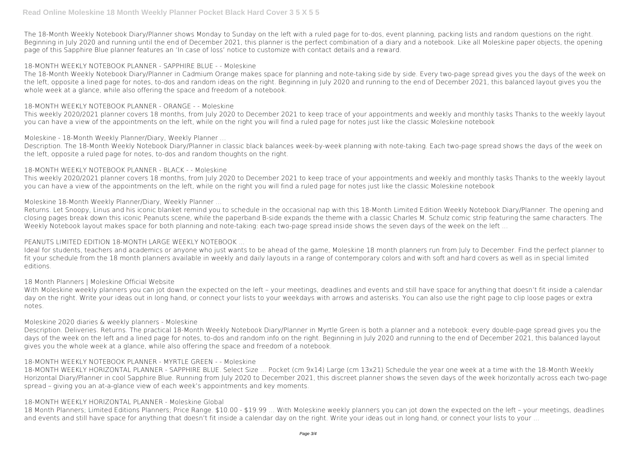The 18-Month Weekly Notebook Diary/Planner shows Monday to Sunday on the left with a ruled page for to-dos, event planning, packing lists and random questions on the right. Beginning in July 2020 and running until the end of December 2021, this planner is the perfect combination of a diary and a notebook. Like all Moleskine paper objects, the opening page of this Sapphire Blue planner features an 'In case of loss' notice to customize with contact details and a reward.

## *18-MONTH WEEKLY NOTEBOOK PLANNER - SAPPHIRE BLUE - - Moleskine*

The 18-Month Weekly Notebook Diary/Planner in Cadmium Orange makes space for planning and note-taking side by side. Every two-page spread gives you the days of the week on the left, opposite a lined page for notes, to-dos and random ideas on the right. Beginning in July 2020 and running to the end of December 2021, this balanced layout gives you the whole week at a glance, while also offering the space and freedom of a notebook.

### *18-MONTH WEEKLY NOTEBOOK PLANNER - ORANGE - - Moleskine*

Returns. Let Snoopy, Linus and his iconic blanket remind you to schedule in the occasional nap with this 18-Month Limited Edition Weekly Notebook Diary/Planner. The opening and closing pages break down this iconic Peanuts scene, while the paperband B-side expands the theme with a classic Charles M. Schulz comic strip featuring the same characters. The Weekly Notebook layout makes space for both planning and note-taking: each two-page spread inside shows the seven days of the week on the left ...

This weekly 2020/2021 planner covers 18 months, from July 2020 to December 2021 to keep trace of your appointments and weekly and monthly tasks Thanks to the weekly layout you can have a view of the appointments on the left, while on the right you will find a ruled page for notes just like the classic Moleskine notebook

## *Moleskine - 18-Month Weekly Planner/Diary, Weekly Planner ...*

Description. The 18-Month Weekly Notebook Diary/Planner in classic black balances week-by-week planning with note-taking. Each two-page spread shows the days of the week on the left, opposite a ruled page for notes, to-dos and random thoughts on the right.

With Moleskine weekly planners you can jot down the expected on the left – your meetings, deadlines and events and still have space for anything that doesn't fit inside a calendar day on the right. Write your ideas out in long hand, or connect your lists to your weekdays with arrows and asterisks. You can also use the right page to clip loose pages or extra notes.

### *18-MONTH WEEKLY NOTEBOOK PLANNER - BLACK - - Moleskine*

This weekly 2020/2021 planner covers 18 months, from July 2020 to December 2021 to keep trace of your appointments and weekly and monthly tasks Thanks to the weekly layout you can have a view of the appointments on the left, while on the right you will find a ruled page for notes just like the classic Moleskine notebook

### *Moleskine 18-Month Weekly Planner/Diary, Weekly Planner ...*

18 Month Planners; Limited Editions Planners; Price Range. \$10.00 - \$19.99 ... With Moleskine weekly planners you can jot down the expected on the left – your meetings, deadlines and events and still have space for anything that doesn't fit inside a calendar day on the right. Write your ideas out in long hand, or connect your lists to your ...

## *PEANUTS LIMITED EDITION 18-MONTH LARGE WEEKLY NOTEBOOK ...*

Ideal for students, teachers and academics or anyone who just wants to be ahead of the game, Moleskine 18 month planners run from July to December. Find the perfect planner to fit your schedule from the 18 month planners available in weekly and daily layouts in a range of contemporary colors and with soft and hard covers as well as in special limited editions.

#### *18 Month Planners | Moleskine Official Website*

## *Moleskine 2020 diaries & weekly planners - Moleskine*

Description. Deliveries. Returns. The practical 18-Month Weekly Notebook Diary/Planner in Myrtle Green is both a planner and a notebook: every double-page spread gives you the days of the week on the left and a lined page for notes, to-dos and random info on the right. Beginning in July 2020 and running to the end of December 2021, this balanced layout gives you the whole week at a glance, while also offering the space and freedom of a notebook.

## *18-MONTH WEEKLY NOTEBOOK PLANNER - MYRTLE GREEN - - Moleskine*

18-MONTH WEEKLY HORIZONTAL PLANNER - SAPPHIRE BLUE. Select Size ... Pocket (cm 9x14) Large (cm 13x21) Schedule the year one week at a time with the 18-Month Weekly Horizontal Diary/Planner in cool Sapphire Blue. Running from July 2020 to December 2021, this discreet planner shows the seven days of the week horizontally across each two-page spread – giving you an at-a-glance view of each week's appointments and key moments.

#### *18-MONTH WEEKLY HORIZONTAL PLANNER - Moleskine Global*